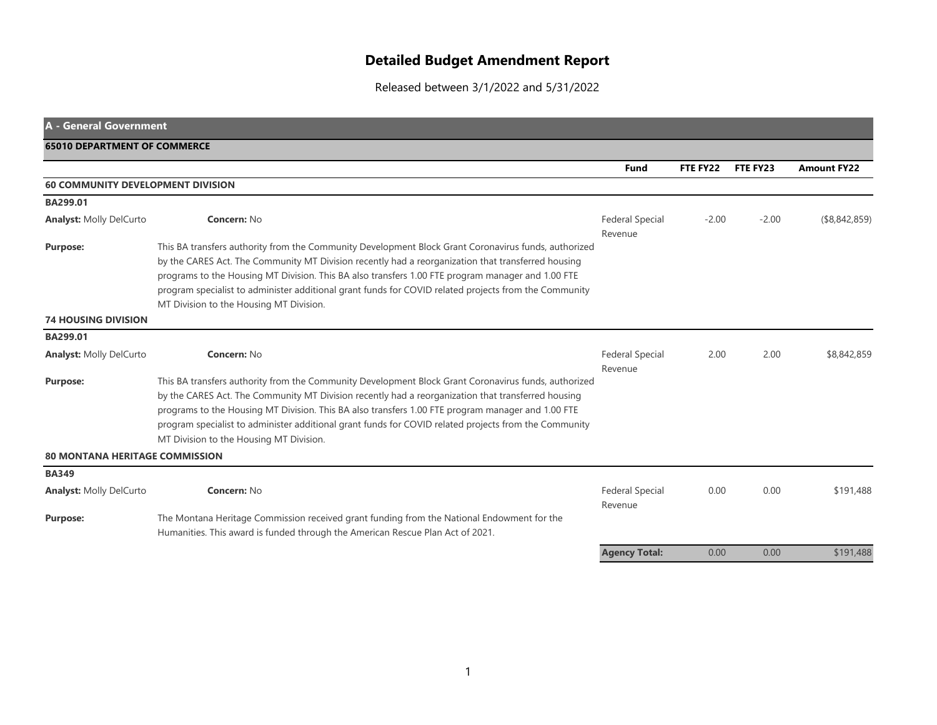## **Detailed Budget Amendment Report**

Released between 3/1/2022 and 5/31/2022

| <b>A - General Government</b>            |                                                                                                                                                                                                                                                                                                                                                                                                                                                                     |                                   |          |          |                    |
|------------------------------------------|---------------------------------------------------------------------------------------------------------------------------------------------------------------------------------------------------------------------------------------------------------------------------------------------------------------------------------------------------------------------------------------------------------------------------------------------------------------------|-----------------------------------|----------|----------|--------------------|
| <b>65010 DEPARTMENT OF COMMERCE</b>      |                                                                                                                                                                                                                                                                                                                                                                                                                                                                     |                                   |          |          |                    |
|                                          |                                                                                                                                                                                                                                                                                                                                                                                                                                                                     | <b>Fund</b>                       | FTE FY22 | FTE FY23 | <b>Amount FY22</b> |
| <b>60 COMMUNITY DEVELOPMENT DIVISION</b> |                                                                                                                                                                                                                                                                                                                                                                                                                                                                     |                                   |          |          |                    |
| BA299.01                                 |                                                                                                                                                                                                                                                                                                                                                                                                                                                                     |                                   |          |          |                    |
| <b>Analyst: Molly DelCurto</b>           | Concern: No                                                                                                                                                                                                                                                                                                                                                                                                                                                         | <b>Federal Special</b><br>Revenue | $-2.00$  | $-2.00$  | ( \$8,842,859)     |
| <b>Purpose:</b>                          | This BA transfers authority from the Community Development Block Grant Coronavirus funds, authorized<br>by the CARES Act. The Community MT Division recently had a reorganization that transferred housing<br>programs to the Housing MT Division. This BA also transfers 1.00 FTE program manager and 1.00 FTE<br>program specialist to administer additional grant funds for COVID related projects from the Community<br>MT Division to the Housing MT Division. |                                   |          |          |                    |
| <b>74 HOUSING DIVISION</b>               |                                                                                                                                                                                                                                                                                                                                                                                                                                                                     |                                   |          |          |                    |
| BA299.01                                 |                                                                                                                                                                                                                                                                                                                                                                                                                                                                     |                                   |          |          |                    |
| <b>Analyst: Molly DelCurto</b>           | Concern: No                                                                                                                                                                                                                                                                                                                                                                                                                                                         | <b>Federal Special</b><br>Revenue | 2.00     | 2.00     | \$8,842,859        |
| <b>Purpose:</b>                          | This BA transfers authority from the Community Development Block Grant Coronavirus funds, authorized<br>by the CARES Act. The Community MT Division recently had a reorganization that transferred housing<br>programs to the Housing MT Division. This BA also transfers 1.00 FTE program manager and 1.00 FTE<br>program specialist to administer additional grant funds for COVID related projects from the Community<br>MT Division to the Housing MT Division. |                                   |          |          |                    |
| <b>80 MONTANA HERITAGE COMMISSION</b>    |                                                                                                                                                                                                                                                                                                                                                                                                                                                                     |                                   |          |          |                    |
| <b>BA349</b>                             |                                                                                                                                                                                                                                                                                                                                                                                                                                                                     |                                   |          |          |                    |
| <b>Analyst: Molly DelCurto</b>           | Concern: No                                                                                                                                                                                                                                                                                                                                                                                                                                                         | <b>Federal Special</b><br>Revenue | 0.00     | 0.00     | \$191,488          |
| <b>Purpose:</b>                          | The Montana Heritage Commission received grant funding from the National Endowment for the<br>Humanities. This award is funded through the American Rescue Plan Act of 2021.                                                                                                                                                                                                                                                                                        |                                   |          |          |                    |
|                                          |                                                                                                                                                                                                                                                                                                                                                                                                                                                                     | <b>Agency Total:</b>              | 0.00     | 0.00     | \$191,488          |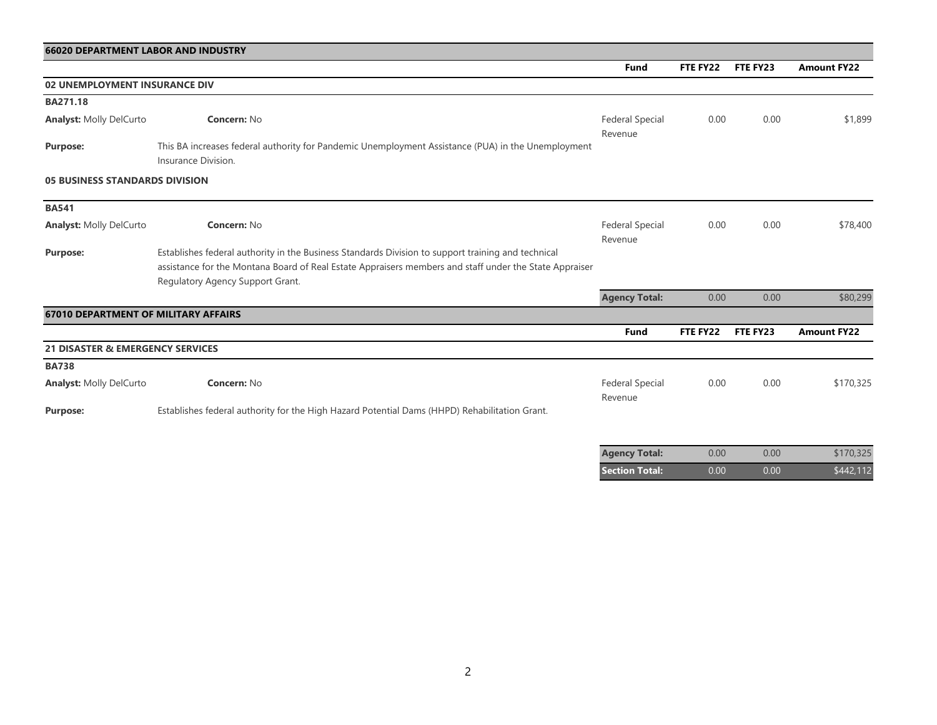| <b>66020 DEPARTMENT LABOR AND INDUSTRY</b>  |                                                                                                                                            |                                   |          |          |                    |
|---------------------------------------------|--------------------------------------------------------------------------------------------------------------------------------------------|-----------------------------------|----------|----------|--------------------|
|                                             |                                                                                                                                            | <b>Fund</b>                       | FTE FY22 | FTE FY23 | <b>Amount FY22</b> |
| <b>02 UNEMPLOYMENT INSURANCE DIV</b>        |                                                                                                                                            |                                   |          |          |                    |
| BA271.18                                    |                                                                                                                                            |                                   |          |          |                    |
| <b>Analyst: Molly DelCurto</b>              | <b>Concern: No</b>                                                                                                                         | <b>Federal Special</b><br>Revenue | 0.00     | 0.00     | \$1,899            |
| <b>Purpose:</b>                             | This BA increases federal authority for Pandemic Unemployment Assistance (PUA) in the Unemployment<br>Insurance Division.                  |                                   |          |          |                    |
| <b>05 BUSINESS STANDARDS DIVISION</b>       |                                                                                                                                            |                                   |          |          |                    |
| <b>BA541</b>                                |                                                                                                                                            |                                   |          |          |                    |
| <b>Analyst: Molly DelCurto</b>              | <b>Concern: No</b>                                                                                                                         | <b>Federal Special</b>            | 0.00     | 0.00     | \$78,400           |
|                                             |                                                                                                                                            | Revenue                           |          |          |                    |
| <b>Purpose:</b>                             | Establishes federal authority in the Business Standards Division to support training and technical                                         |                                   |          |          |                    |
|                                             | assistance for the Montana Board of Real Estate Appraisers members and staff under the State Appraiser<br>Regulatory Agency Support Grant. |                                   |          |          |                    |
|                                             |                                                                                                                                            | <b>Agency Total:</b>              | 0.00     | 0.00     | \$80,299           |
| <b>67010 DEPARTMENT OF MILITARY AFFAIRS</b> |                                                                                                                                            |                                   |          |          |                    |
|                                             |                                                                                                                                            | <b>Fund</b>                       | FTE FY22 | FTE FY23 | <b>Amount FY22</b> |
| <b>21 DISASTER &amp; EMERGENCY SERVICES</b> |                                                                                                                                            |                                   |          |          |                    |
| <b>BA738</b>                                |                                                                                                                                            |                                   |          |          |                    |
| <b>Analyst: Molly DelCurto</b>              | <b>Concern: No</b>                                                                                                                         | <b>Federal Special</b><br>Revenue | 0.00     | 0.00     | \$170,325          |
| <b>Purpose:</b>                             | Establishes federal authority for the High Hazard Potential Dams (HHPD) Rehabilitation Grant.                                              |                                   |          |          |                    |

| <b>Agency Total:</b>  | 0.00 | 0.00 | \$170,325 |
|-----------------------|------|------|-----------|
| <b>Section Total:</b> | 0.00 | 0.00 | \$442,112 |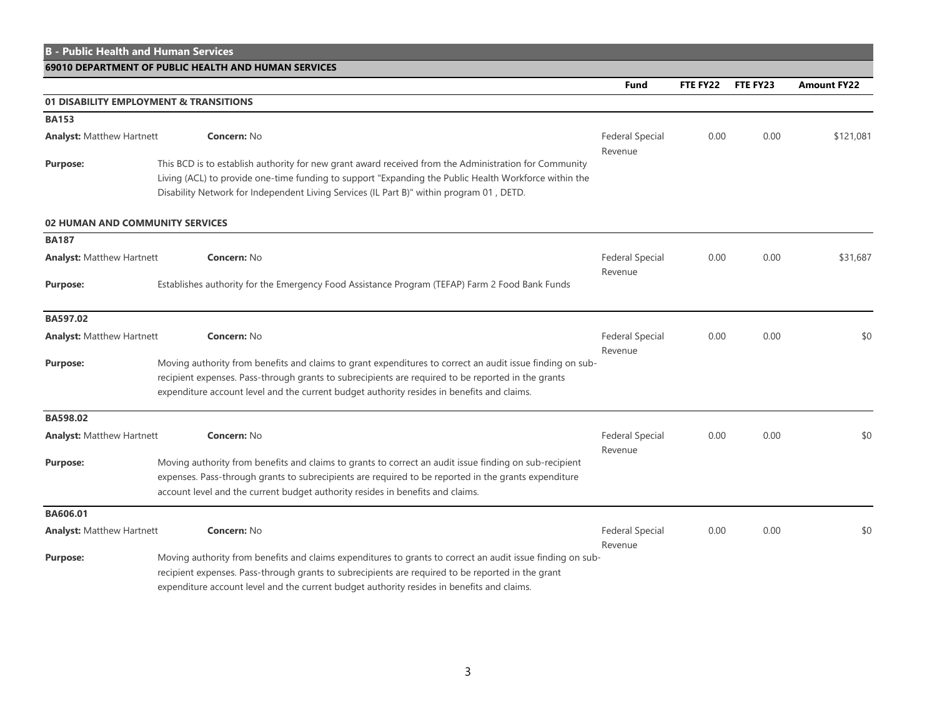|                                  | <b>B - Public Health and Human Services</b>                                                                                                                                                                                                                                                                   |                                           |          |          |                    |
|----------------------------------|---------------------------------------------------------------------------------------------------------------------------------------------------------------------------------------------------------------------------------------------------------------------------------------------------------------|-------------------------------------------|----------|----------|--------------------|
|                                  | 69010 DEPARTMENT OF PUBLIC HEALTH AND HUMAN SERVICES                                                                                                                                                                                                                                                          |                                           |          |          |                    |
|                                  |                                                                                                                                                                                                                                                                                                               | Fund                                      | FTE FY22 | FTE FY23 | <b>Amount FY22</b> |
|                                  | 01 DISABILITY EMPLOYMENT & TRANSITIONS                                                                                                                                                                                                                                                                        |                                           |          |          |                    |
| <b>BA153</b>                     |                                                                                                                                                                                                                                                                                                               |                                           |          |          |                    |
| <b>Analyst: Matthew Hartnett</b> | <b>Concern: No</b>                                                                                                                                                                                                                                                                                            | <b>Federal Special</b><br>Revenue         | 0.00     | 0.00     | \$121,081          |
| <b>Purpose:</b>                  | This BCD is to establish authority for new grant award received from the Administration for Community<br>Living (ACL) to provide one-time funding to support "Expanding the Public Health Workforce within the<br>Disability Network for Independent Living Services (IL Part B)" within program 01, DETD.    |                                           |          |          |                    |
|                                  | 02 HUMAN AND COMMUNITY SERVICES                                                                                                                                                                                                                                                                               |                                           |          |          |                    |
| <b>BA187</b>                     |                                                                                                                                                                                                                                                                                                               |                                           |          |          |                    |
| <b>Analyst: Matthew Hartnett</b> | <b>Concern: No</b>                                                                                                                                                                                                                                                                                            | <b>Federal Special</b><br>0.00<br>Revenue | 0.00     | \$31,687 |                    |
| <b>Purpose:</b>                  | Establishes authority for the Emergency Food Assistance Program (TEFAP) Farm 2 Food Bank Funds                                                                                                                                                                                                                |                                           |          |          |                    |
| BA597.02                         |                                                                                                                                                                                                                                                                                                               |                                           |          |          |                    |
| <b>Analyst: Matthew Hartnett</b> | <b>Concern: No</b>                                                                                                                                                                                                                                                                                            | <b>Federal Special</b><br>Revenue         | 0.00     | 0.00     | \$0                |
| <b>Purpose:</b>                  | Moving authority from benefits and claims to grant expenditures to correct an audit issue finding on sub-<br>recipient expenses. Pass-through grants to subrecipients are required to be reported in the grants<br>expenditure account level and the current budget authority resides in benefits and claims. |                                           |          |          |                    |
| BA598.02                         |                                                                                                                                                                                                                                                                                                               |                                           |          |          |                    |
| <b>Analyst: Matthew Hartnett</b> | <b>Concern: No</b>                                                                                                                                                                                                                                                                                            | <b>Federal Special</b><br>Revenue         | 0.00     | 0.00     | \$0                |
| <b>Purpose:</b>                  | Moving authority from benefits and claims to grants to correct an audit issue finding on sub-recipient<br>expenses. Pass-through grants to subrecipients are required to be reported in the grants expenditure<br>account level and the current budget authority resides in benefits and claims.              |                                           |          |          |                    |
| BA606.01                         |                                                                                                                                                                                                                                                                                                               |                                           |          |          |                    |
| <b>Analyst: Matthew Hartnett</b> | <b>Concern: No</b>                                                                                                                                                                                                                                                                                            | <b>Federal Special</b><br>Revenue         | 0.00     | 0.00     | \$0                |
| <b>Purpose:</b>                  | Moving authority from benefits and claims expenditures to grants to correct an audit issue finding on sub-<br>recipient expenses. Pass-through grants to subrecipients are required to be reported in the grant<br>expenditure account level and the current budget authority resides in benefits and claims. |                                           |          |          |                    |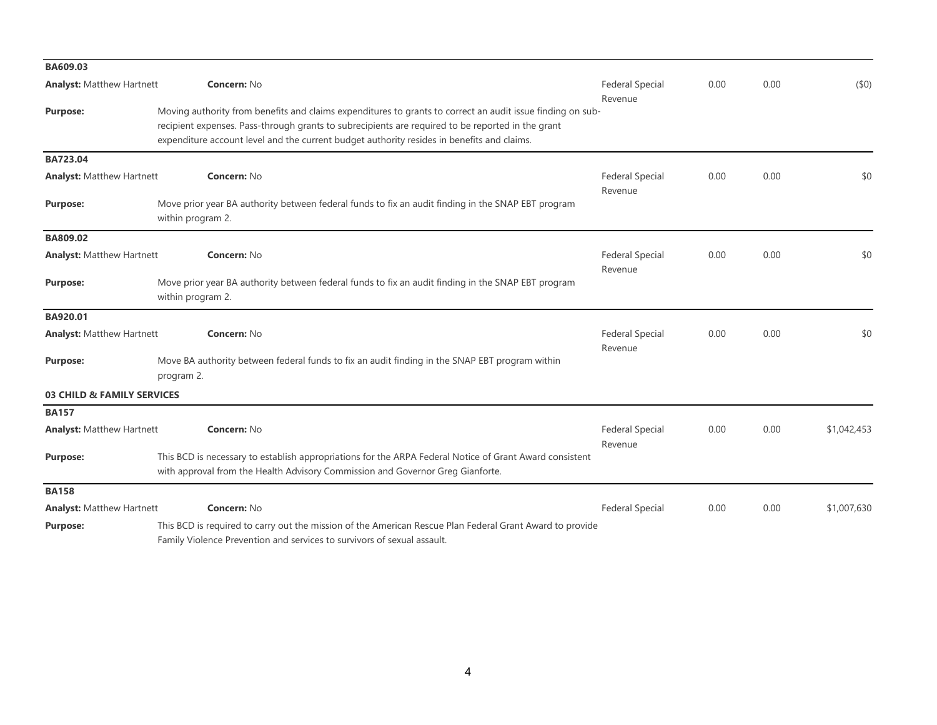| BA609.03                         |                                                                                                                                                                                                                                                                                                               |                                   |      |         |             |      |     |
|----------------------------------|---------------------------------------------------------------------------------------------------------------------------------------------------------------------------------------------------------------------------------------------------------------------------------------------------------------|-----------------------------------|------|---------|-------------|------|-----|
| <b>Analyst: Matthew Hartnett</b> | <b>Concern: No</b>                                                                                                                                                                                                                                                                                            | <b>Federal Special</b><br>Revenue | 0.00 | 0.00    | (50)        |      |     |
| <b>Purpose:</b>                  | Moving authority from benefits and claims expenditures to grants to correct an audit issue finding on sub-<br>recipient expenses. Pass-through grants to subrecipients are required to be reported in the grant<br>expenditure account level and the current budget authority resides in benefits and claims. |                                   |      |         |             |      |     |
| BA723.04                         |                                                                                                                                                                                                                                                                                                               |                                   |      |         |             |      |     |
| <b>Analyst: Matthew Hartnett</b> | Concern: No                                                                                                                                                                                                                                                                                                   | <b>Federal Special</b><br>Revenue | 0.00 | 0.00    | \$0         |      |     |
| <b>Purpose:</b>                  | Move prior year BA authority between federal funds to fix an audit finding in the SNAP EBT program<br>within program 2.                                                                                                                                                                                       |                                   |      |         |             |      |     |
| BA809.02                         |                                                                                                                                                                                                                                                                                                               |                                   |      |         |             |      |     |
| <b>Analyst: Matthew Hartnett</b> | Concern: No                                                                                                                                                                                                                                                                                                   | <b>Federal Special</b><br>0.00    |      | Revenue |             | 0.00 | \$0 |
| <b>Purpose:</b>                  | Move prior year BA authority between federal funds to fix an audit finding in the SNAP EBT program<br>within program 2.                                                                                                                                                                                       |                                   |      |         |             |      |     |
| BA920.01                         |                                                                                                                                                                                                                                                                                                               |                                   |      |         |             |      |     |
| <b>Analyst: Matthew Hartnett</b> | <b>Concern: No</b>                                                                                                                                                                                                                                                                                            | <b>Federal Special</b><br>Revenue | 0.00 | 0.00    | \$0         |      |     |
| <b>Purpose:</b>                  | Move BA authority between federal funds to fix an audit finding in the SNAP EBT program within<br>program 2.                                                                                                                                                                                                  |                                   |      |         |             |      |     |
| 03 CHILD & FAMILY SERVICES       |                                                                                                                                                                                                                                                                                                               |                                   |      |         |             |      |     |
| <b>BA157</b>                     |                                                                                                                                                                                                                                                                                                               |                                   |      |         |             |      |     |
| <b>Analyst: Matthew Hartnett</b> | Concern: No                                                                                                                                                                                                                                                                                                   | <b>Federal Special</b><br>Revenue | 0.00 | 0.00    | \$1,042,453 |      |     |
| <b>Purpose:</b>                  | This BCD is necessary to establish appropriations for the ARPA Federal Notice of Grant Award consistent<br>with approval from the Health Advisory Commission and Governor Greg Gianforte.                                                                                                                     |                                   |      |         |             |      |     |
| <b>BA158</b>                     |                                                                                                                                                                                                                                                                                                               |                                   |      |         |             |      |     |
| <b>Analyst: Matthew Hartnett</b> | Concern: No                                                                                                                                                                                                                                                                                                   | <b>Federal Special</b>            | 0.00 | 0.00    | \$1,007,630 |      |     |
| <b>Purpose:</b>                  | This BCD is required to carry out the mission of the American Rescue Plan Federal Grant Award to provide<br>Family Violence Prevention and services to survivors of sexual assault.                                                                                                                           |                                   |      |         |             |      |     |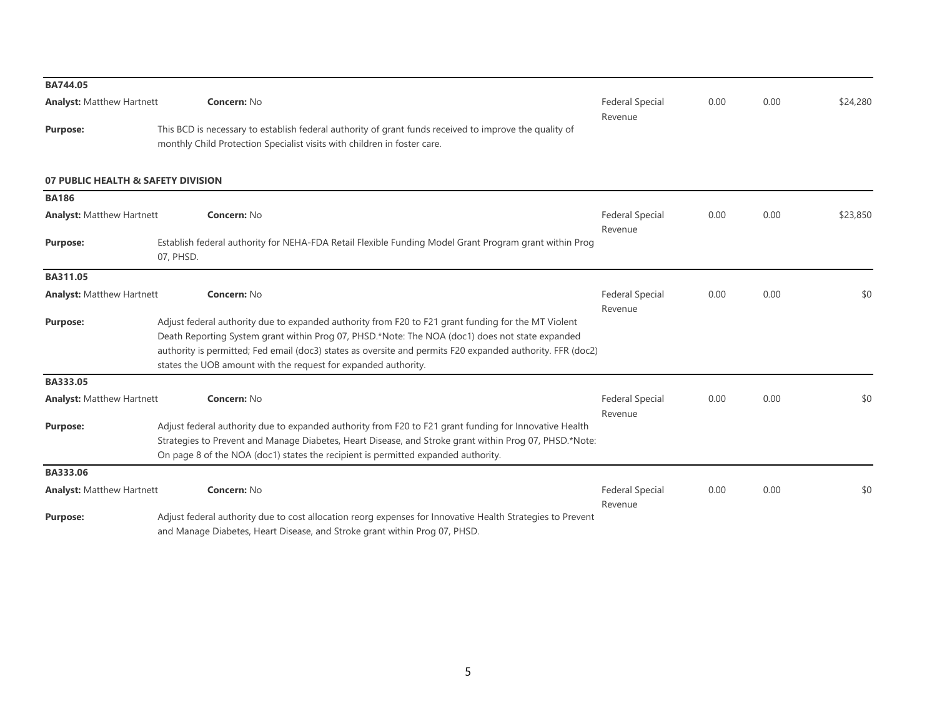| BA744.05                           |                                                                                                                                                                                                                                                                                                       |                                   |      |      |          |
|------------------------------------|-------------------------------------------------------------------------------------------------------------------------------------------------------------------------------------------------------------------------------------------------------------------------------------------------------|-----------------------------------|------|------|----------|
| <b>Analyst: Matthew Hartnett</b>   | <b>Concern: No</b>                                                                                                                                                                                                                                                                                    | <b>Federal Special</b><br>Revenue | 0.00 | 0.00 | \$24,280 |
| <b>Purpose:</b>                    | This BCD is necessary to establish federal authority of grant funds received to improve the quality of<br>monthly Child Protection Specialist visits with children in foster care.                                                                                                                    |                                   |      |      |          |
| 07 PUBLIC HEALTH & SAFETY DIVISION |                                                                                                                                                                                                                                                                                                       |                                   |      |      |          |
| <b>BA186</b>                       |                                                                                                                                                                                                                                                                                                       |                                   |      |      |          |
| <b>Analyst: Matthew Hartnett</b>   | <b>Concern: No</b>                                                                                                                                                                                                                                                                                    | <b>Federal Special</b><br>Revenue | 0.00 | 0.00 | \$23,850 |
| <b>Purpose:</b>                    | Establish federal authority for NEHA-FDA Retail Flexible Funding Model Grant Program grant within Prog<br>07, PHSD.                                                                                                                                                                                   |                                   |      |      |          |
| BA311.05                           |                                                                                                                                                                                                                                                                                                       |                                   |      |      |          |
| <b>Analyst: Matthew Hartnett</b>   | Concern: No                                                                                                                                                                                                                                                                                           | <b>Federal Special</b><br>Revenue | 0.00 | 0.00 | \$0      |
| <b>Purpose:</b>                    | Adjust federal authority due to expanded authority from F20 to F21 grant funding for the MT Violent                                                                                                                                                                                                   |                                   |      |      |          |
|                                    | Death Reporting System grant within Prog 07, PHSD.*Note: The NOA (doc1) does not state expanded                                                                                                                                                                                                       |                                   |      |      |          |
|                                    | authority is permitted; Fed email (doc3) states as oversite and permits F20 expanded authority. FFR (doc2)                                                                                                                                                                                            |                                   |      |      |          |
|                                    | states the UOB amount with the request for expanded authority.                                                                                                                                                                                                                                        |                                   |      |      |          |
| BA333.05                           |                                                                                                                                                                                                                                                                                                       |                                   |      |      |          |
| <b>Analyst: Matthew Hartnett</b>   | <b>Concern: No</b>                                                                                                                                                                                                                                                                                    | <b>Federal Special</b><br>Revenue | 0.00 | 0.00 | \$0      |
| <b>Purpose:</b>                    | Adjust federal authority due to expanded authority from F20 to F21 grant funding for Innovative Health<br>Strategies to Prevent and Manage Diabetes, Heart Disease, and Stroke grant within Prog 07, PHSD.*Note:<br>On page 8 of the NOA (doc1) states the recipient is permitted expanded authority. |                                   |      |      |          |
| BA333.06                           |                                                                                                                                                                                                                                                                                                       |                                   |      |      |          |
| <b>Analyst: Matthew Hartnett</b>   | Concern: No                                                                                                                                                                                                                                                                                           | <b>Federal Special</b><br>Revenue | 0.00 | 0.00 | \$0      |
| <b>Purpose:</b>                    | Adjust federal authority due to cost allocation reorg expenses for Innovative Health Strategies to Prevent<br>and Manage Diabetes, Heart Disease, and Stroke grant within Prog 07, PHSD.                                                                                                              |                                   |      |      |          |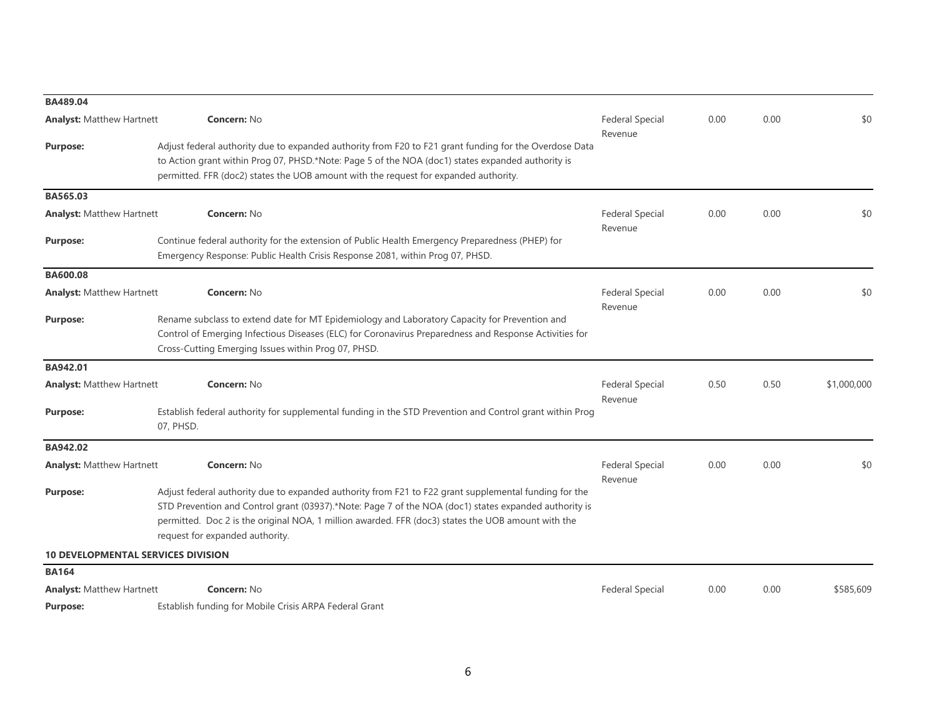| BA489.04                         |                                                                                                                                                                                                                                                                                                                                                         |                                   |      |      |             |
|----------------------------------|---------------------------------------------------------------------------------------------------------------------------------------------------------------------------------------------------------------------------------------------------------------------------------------------------------------------------------------------------------|-----------------------------------|------|------|-------------|
| <b>Analyst: Matthew Hartnett</b> | <b>Concern: No</b>                                                                                                                                                                                                                                                                                                                                      | <b>Federal Special</b>            | 0.00 | 0.00 | \$0         |
| <b>Purpose:</b>                  | Adjust federal authority due to expanded authority from F20 to F21 grant funding for the Overdose Data<br>to Action grant within Prog 07, PHSD.*Note: Page 5 of the NOA (doc1) states expanded authority is<br>permitted. FFR (doc2) states the UOB amount with the request for expanded authority.                                                     | Revenue                           |      |      |             |
| BA565.03                         |                                                                                                                                                                                                                                                                                                                                                         |                                   |      |      |             |
| <b>Analyst: Matthew Hartnett</b> | <b>Concern: No</b>                                                                                                                                                                                                                                                                                                                                      | <b>Federal Special</b><br>Revenue | 0.00 | 0.00 | \$0         |
| <b>Purpose:</b>                  | Continue federal authority for the extension of Public Health Emergency Preparedness (PHEP) for<br>Emergency Response: Public Health Crisis Response 2081, within Prog 07, PHSD.                                                                                                                                                                        |                                   |      |      |             |
| BA600.08                         |                                                                                                                                                                                                                                                                                                                                                         |                                   |      |      |             |
| <b>Analyst: Matthew Hartnett</b> | <b>Concern: No</b>                                                                                                                                                                                                                                                                                                                                      | <b>Federal Special</b><br>Revenue | 0.00 | 0.00 | \$0         |
| <b>Purpose:</b>                  | Rename subclass to extend date for MT Epidemiology and Laboratory Capacity for Prevention and<br>Control of Emerging Infectious Diseases (ELC) for Coronavirus Preparedness and Response Activities for<br>Cross-Cutting Emerging Issues within Prog 07, PHSD.                                                                                          |                                   |      |      |             |
| BA942.01                         |                                                                                                                                                                                                                                                                                                                                                         |                                   |      |      |             |
| <b>Analyst: Matthew Hartnett</b> | <b>Concern: No</b>                                                                                                                                                                                                                                                                                                                                      | <b>Federal Special</b><br>Revenue | 0.50 | 0.50 | \$1,000,000 |
| <b>Purpose:</b>                  | Establish federal authority for supplemental funding in the STD Prevention and Control grant within Prog<br>07, PHSD.                                                                                                                                                                                                                                   |                                   |      |      |             |
| BA942.02                         |                                                                                                                                                                                                                                                                                                                                                         |                                   |      |      |             |
| <b>Analyst: Matthew Hartnett</b> | <b>Concern: No</b>                                                                                                                                                                                                                                                                                                                                      | <b>Federal Special</b><br>Revenue | 0.00 | 0.00 | \$0         |
| <b>Purpose:</b>                  | Adjust federal authority due to expanded authority from F21 to F22 grant supplemental funding for the<br>STD Prevention and Control grant (03937).*Note: Page 7 of the NOA (doc1) states expanded authority is<br>permitted. Doc 2 is the original NOA, 1 million awarded. FFR (doc3) states the UOB amount with the<br>request for expanded authority. |                                   |      |      |             |
|                                  | <b>10 DEVELOPMENTAL SERVICES DIVISION</b>                                                                                                                                                                                                                                                                                                               |                                   |      |      |             |
| <b>BA164</b>                     |                                                                                                                                                                                                                                                                                                                                                         |                                   |      |      |             |
| <b>Analyst: Matthew Hartnett</b> | <b>Concern: No</b>                                                                                                                                                                                                                                                                                                                                      | <b>Federal Special</b>            | 0.00 | 0.00 | \$585,609   |
| <b>Purpose:</b>                  | Establish funding for Mobile Crisis ARPA Federal Grant                                                                                                                                                                                                                                                                                                  |                                   |      |      |             |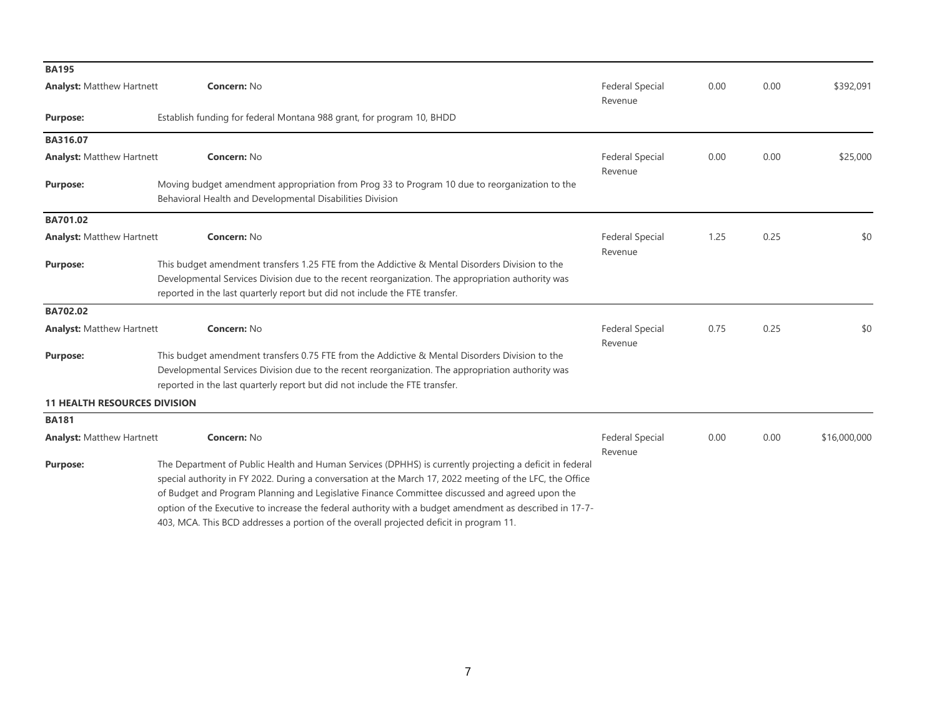| <b>BA195</b>                        |                                                                                                                                                                                                                                                                                                                                                                                                                                                                                                                            |                                   |      |      |              |
|-------------------------------------|----------------------------------------------------------------------------------------------------------------------------------------------------------------------------------------------------------------------------------------------------------------------------------------------------------------------------------------------------------------------------------------------------------------------------------------------------------------------------------------------------------------------------|-----------------------------------|------|------|--------------|
| <b>Analyst: Matthew Hartnett</b>    | <b>Concern: No</b>                                                                                                                                                                                                                                                                                                                                                                                                                                                                                                         | <b>Federal Special</b><br>Revenue | 0.00 | 0.00 | \$392,091    |
| <b>Purpose:</b>                     | Establish funding for federal Montana 988 grant, for program 10, BHDD                                                                                                                                                                                                                                                                                                                                                                                                                                                      |                                   |      |      |              |
| BA316.07                            |                                                                                                                                                                                                                                                                                                                                                                                                                                                                                                                            |                                   |      |      |              |
| <b>Analyst: Matthew Hartnett</b>    | <b>Concern: No</b>                                                                                                                                                                                                                                                                                                                                                                                                                                                                                                         | <b>Federal Special</b>            | 0.00 | 0.00 | \$25,000     |
| <b>Purpose:</b>                     | Moving budget amendment appropriation from Prog 33 to Program 10 due to reorganization to the<br>Behavioral Health and Developmental Disabilities Division                                                                                                                                                                                                                                                                                                                                                                 | Revenue                           |      |      |              |
| BA701.02                            |                                                                                                                                                                                                                                                                                                                                                                                                                                                                                                                            |                                   |      |      |              |
| <b>Analyst: Matthew Hartnett</b>    | Concern: No                                                                                                                                                                                                                                                                                                                                                                                                                                                                                                                | <b>Federal Special</b><br>Revenue | 1.25 | 0.25 | \$0          |
| <b>Purpose:</b>                     | This budget amendment transfers 1.25 FTE from the Addictive & Mental Disorders Division to the<br>Developmental Services Division due to the recent reorganization. The appropriation authority was<br>reported in the last quarterly report but did not include the FTE transfer.                                                                                                                                                                                                                                         |                                   |      |      |              |
| <b>BA702.02</b>                     |                                                                                                                                                                                                                                                                                                                                                                                                                                                                                                                            |                                   |      |      |              |
| <b>Analyst: Matthew Hartnett</b>    | <b>Concern: No</b>                                                                                                                                                                                                                                                                                                                                                                                                                                                                                                         | <b>Federal Special</b><br>Revenue | 0.75 | 0.25 | \$0          |
| <b>Purpose:</b>                     | This budget amendment transfers 0.75 FTE from the Addictive & Mental Disorders Division to the<br>Developmental Services Division due to the recent reorganization. The appropriation authority was<br>reported in the last quarterly report but did not include the FTE transfer.                                                                                                                                                                                                                                         |                                   |      |      |              |
| <b>11 HEALTH RESOURCES DIVISION</b> |                                                                                                                                                                                                                                                                                                                                                                                                                                                                                                                            |                                   |      |      |              |
| <b>BA181</b>                        |                                                                                                                                                                                                                                                                                                                                                                                                                                                                                                                            |                                   |      |      |              |
| <b>Analyst: Matthew Hartnett</b>    | Concern: No                                                                                                                                                                                                                                                                                                                                                                                                                                                                                                                | <b>Federal Special</b><br>Revenue | 0.00 | 0.00 | \$16,000,000 |
| <b>Purpose:</b>                     | The Department of Public Health and Human Services (DPHHS) is currently projecting a deficit in federal<br>special authority in FY 2022. During a conversation at the March 17, 2022 meeting of the LFC, the Office<br>of Budget and Program Planning and Legislative Finance Committee discussed and agreed upon the<br>option of the Executive to increase the federal authority with a budget amendment as described in 17-7-<br>403, MCA. This BCD addresses a portion of the overall projected deficit in program 11. |                                   |      |      |              |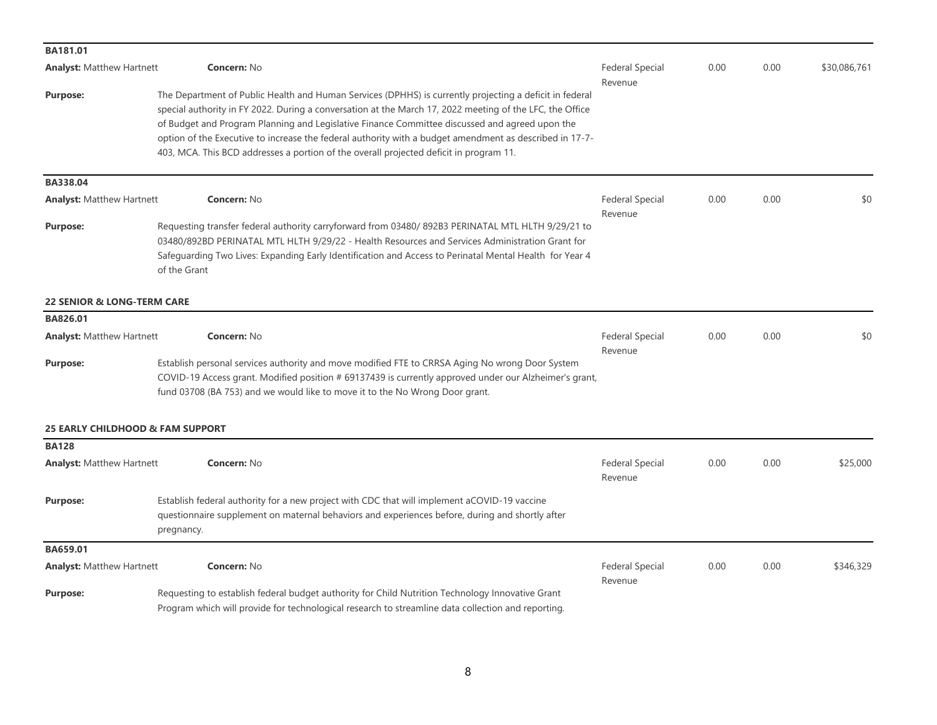| BA181.01                              |                                                                                                                                                                                                                                                                                                                                                                                                                                                                                                                            |                                   |      |      |              |
|---------------------------------------|----------------------------------------------------------------------------------------------------------------------------------------------------------------------------------------------------------------------------------------------------------------------------------------------------------------------------------------------------------------------------------------------------------------------------------------------------------------------------------------------------------------------------|-----------------------------------|------|------|--------------|
| <b>Analyst:</b> Matthew Hartnett      | Concern: No                                                                                                                                                                                                                                                                                                                                                                                                                                                                                                                | <b>Federal Special</b>            | 0.00 | 0.00 | \$30,086,761 |
| <b>Purpose:</b>                       | The Department of Public Health and Human Services (DPHHS) is currently projecting a deficit in federal<br>special authority in FY 2022. During a conversation at the March 17, 2022 meeting of the LFC, the Office<br>of Budget and Program Planning and Legislative Finance Committee discussed and agreed upon the<br>option of the Executive to increase the federal authority with a budget amendment as described in 17-7-<br>403, MCA. This BCD addresses a portion of the overall projected deficit in program 11. | Revenue                           |      |      |              |
| BA338.04                              |                                                                                                                                                                                                                                                                                                                                                                                                                                                                                                                            |                                   |      |      |              |
| <b>Analyst: Matthew Hartnett</b>      | <b>Concern: No</b>                                                                                                                                                                                                                                                                                                                                                                                                                                                                                                         | <b>Federal Special</b>            | 0.00 | 0.00 | \$0          |
| <b>Purpose:</b>                       | Requesting transfer federal authority carryforward from 03480/892B3 PERINATAL MTL HLTH 9/29/21 to<br>03480/892BD PERINATAL MTL HLTH 9/29/22 - Health Resources and Services Administration Grant for<br>Safeguarding Two Lives: Expanding Early Identification and Access to Perinatal Mental Health for Year 4<br>of the Grant                                                                                                                                                                                            | Revenue                           |      |      |              |
| <b>22 SENIOR &amp; LONG-TERM CARE</b> |                                                                                                                                                                                                                                                                                                                                                                                                                                                                                                                            |                                   |      |      |              |
| BA826.01                              |                                                                                                                                                                                                                                                                                                                                                                                                                                                                                                                            |                                   |      |      |              |
| <b>Analyst: Matthew Hartnett</b>      | <b>Concern: No</b>                                                                                                                                                                                                                                                                                                                                                                                                                                                                                                         | <b>Federal Special</b><br>Revenue | 0.00 | 0.00 | \$0          |
| <b>Purpose:</b>                       | Establish personal services authority and move modified FTE to CRRSA Aging No wrong Door System<br>COVID-19 Access grant. Modified position # 69137439 is currently approved under our Alzheimer's grant,<br>fund 03708 (BA 753) and we would like to move it to the No Wrong Door grant.                                                                                                                                                                                                                                  |                                   |      |      |              |
|                                       | <b>25 EARLY CHILDHOOD &amp; FAM SUPPORT</b>                                                                                                                                                                                                                                                                                                                                                                                                                                                                                |                                   |      |      |              |
| <b>BA128</b>                          |                                                                                                                                                                                                                                                                                                                                                                                                                                                                                                                            |                                   |      |      |              |
| <b>Analyst: Matthew Hartnett</b>      | <b>Concern: No</b>                                                                                                                                                                                                                                                                                                                                                                                                                                                                                                         | <b>Federal Special</b><br>Revenue | 0.00 | 0.00 | \$25,000     |
| <b>Purpose:</b>                       | Establish federal authority for a new project with CDC that will implement aCOVID-19 vaccine<br>questionnaire supplement on maternal behaviors and experiences before, during and shortly after<br>pregnancy.                                                                                                                                                                                                                                                                                                              |                                   |      |      |              |
| BA659.01                              |                                                                                                                                                                                                                                                                                                                                                                                                                                                                                                                            |                                   |      |      |              |
| <b>Analyst: Matthew Hartnett</b>      | <b>Concern: No</b>                                                                                                                                                                                                                                                                                                                                                                                                                                                                                                         | <b>Federal Special</b><br>Revenue | 0.00 | 0.00 | \$346,329    |
| <b>Purpose:</b>                       | Requesting to establish federal budget authority for Child Nutrition Technology Innovative Grant<br>Program which will provide for technological research to streamline data collection and reporting.                                                                                                                                                                                                                                                                                                                     |                                   |      |      |              |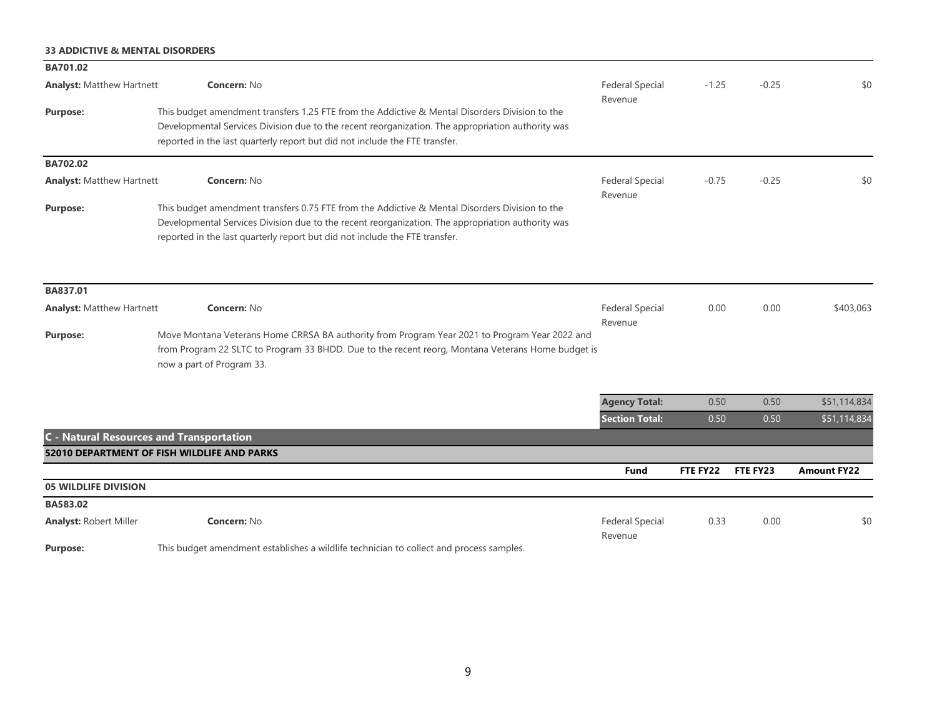## **33 ADDICTIVE & MENTAL DISORDERS**

| BA701.02                         |                                                                                                                                                                                                                                                                                    |                                   |          |          |                    |
|----------------------------------|------------------------------------------------------------------------------------------------------------------------------------------------------------------------------------------------------------------------------------------------------------------------------------|-----------------------------------|----------|----------|--------------------|
| <b>Analyst: Matthew Hartnett</b> | Concern: No                                                                                                                                                                                                                                                                        | <b>Federal Special</b><br>Revenue | $-1.25$  | $-0.25$  | \$0                |
| <b>Purpose:</b>                  | This budget amendment transfers 1.25 FTE from the Addictive & Mental Disorders Division to the<br>Developmental Services Division due to the recent reorganization. The appropriation authority was<br>reported in the last quarterly report but did not include the FTE transfer. |                                   |          |          |                    |
| BA702.02                         |                                                                                                                                                                                                                                                                                    |                                   |          |          |                    |
| <b>Analyst: Matthew Hartnett</b> | <b>Concern: No</b>                                                                                                                                                                                                                                                                 | <b>Federal Special</b><br>Revenue | $-0.75$  | $-0.25$  | \$0                |
| <b>Purpose:</b>                  | This budget amendment transfers 0.75 FTE from the Addictive & Mental Disorders Division to the<br>Developmental Services Division due to the recent reorganization. The appropriation authority was<br>reported in the last quarterly report but did not include the FTE transfer. |                                   |          |          |                    |
| BA837.01                         |                                                                                                                                                                                                                                                                                    |                                   |          |          |                    |
| <b>Analyst: Matthew Hartnett</b> | <b>Concern: No</b>                                                                                                                                                                                                                                                                 | <b>Federal Special</b><br>Revenue | 0.00     | 0.00     | \$403,063          |
| <b>Purpose:</b>                  | Move Montana Veterans Home CRRSA BA authority from Program Year 2021 to Program Year 2022 and<br>from Program 22 SLTC to Program 33 BHDD. Due to the recent reorg, Montana Veterans Home budget is<br>now a part of Program 33.                                                    |                                   |          |          |                    |
|                                  |                                                                                                                                                                                                                                                                                    | <b>Agency Total:</b>              | 0.50     | 0.50     | \$51,114,834       |
|                                  |                                                                                                                                                                                                                                                                                    | <b>Section Total:</b>             | 0.50     | 0.50     | \$51,114,834       |
|                                  | <b>C</b> - Natural Resources and Transportation                                                                                                                                                                                                                                    |                                   |          |          |                    |
|                                  | <b>52010 DEPARTMENT OF FISH WILDLIFE AND PARKS</b>                                                                                                                                                                                                                                 |                                   |          |          |                    |
|                                  |                                                                                                                                                                                                                                                                                    | <b>Fund</b>                       | FTE FY22 | FTE FY23 | <b>Amount FY22</b> |
| <b>05 WILDLIFE DIVISION</b>      |                                                                                                                                                                                                                                                                                    |                                   |          |          |                    |
| BA583.02                         |                                                                                                                                                                                                                                                                                    |                                   |          |          |                    |
| <b>Analyst: Robert Miller</b>    | Concern: No                                                                                                                                                                                                                                                                        | <b>Federal Special</b><br>Revenue | 0.33     | 0.00     | \$0                |
| <b>Purpose:</b>                  | This budget amendment establishes a wildlife technician to collect and process samples.                                                                                                                                                                                            |                                   |          |          |                    |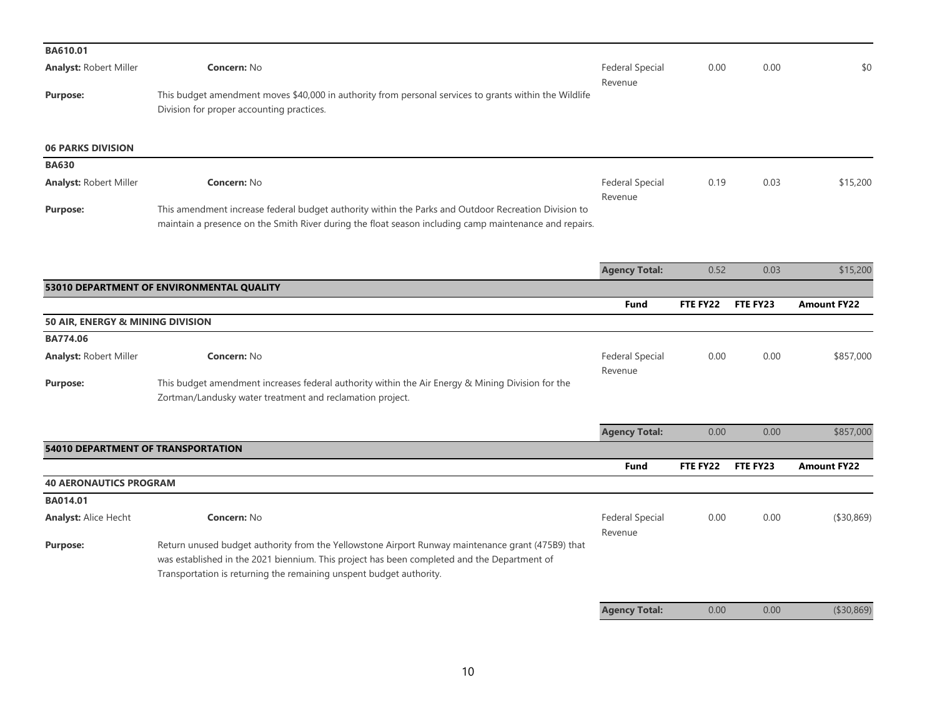| BA610.01                           |                                                                                                                                                                                                                                                                         |                                   |          |          |                    |
|------------------------------------|-------------------------------------------------------------------------------------------------------------------------------------------------------------------------------------------------------------------------------------------------------------------------|-----------------------------------|----------|----------|--------------------|
| <b>Analyst: Robert Miller</b>      | <b>Concern: No</b>                                                                                                                                                                                                                                                      | <b>Federal Special</b>            | 0.00     | 0.00     | \$0                |
| <b>Purpose:</b>                    | This budget amendment moves \$40,000 in authority from personal services to grants within the Wildlife<br>Division for proper accounting practices.                                                                                                                     | Revenue                           |          |          |                    |
| <b>06 PARKS DIVISION</b>           |                                                                                                                                                                                                                                                                         |                                   |          |          |                    |
| <b>BA630</b>                       |                                                                                                                                                                                                                                                                         |                                   |          |          |                    |
| <b>Analyst: Robert Miller</b>      | <b>Concern: No</b>                                                                                                                                                                                                                                                      | <b>Federal Special</b><br>Revenue | 0.19     | 0.03     | \$15,200           |
| <b>Purpose:</b>                    | This amendment increase federal budget authority within the Parks and Outdoor Recreation Division to<br>maintain a presence on the Smith River during the float season including camp maintenance and repairs.                                                          |                                   |          |          |                    |
|                                    |                                                                                                                                                                                                                                                                         | <b>Agency Total:</b>              | 0.52     | 0.03     | \$15,200           |
|                                    | 53010 DEPARTMENT OF ENVIRONMENTAL QUALITY                                                                                                                                                                                                                               |                                   |          |          |                    |
|                                    |                                                                                                                                                                                                                                                                         | <b>Fund</b>                       | FTE FY22 | FTE FY23 | <b>Amount FY22</b> |
| 50 AIR, ENERGY & MINING DIVISION   |                                                                                                                                                                                                                                                                         |                                   |          |          |                    |
| <b>BA774.06</b>                    |                                                                                                                                                                                                                                                                         |                                   |          |          |                    |
|                                    |                                                                                                                                                                                                                                                                         |                                   |          |          |                    |
| <b>Analyst: Robert Miller</b>      | <b>Concern: No</b>                                                                                                                                                                                                                                                      | <b>Federal Special</b><br>Revenue | 0.00     | 0.00     | \$857,000          |
| <b>Purpose:</b>                    | This budget amendment increases federal authority within the Air Energy & Mining Division for the<br>Zortman/Landusky water treatment and reclamation project.                                                                                                          |                                   |          |          |                    |
|                                    |                                                                                                                                                                                                                                                                         |                                   |          |          |                    |
|                                    |                                                                                                                                                                                                                                                                         | <b>Agency Total:</b>              | 0.00     | 0.00     | \$857,000          |
| 54010 DEPARTMENT OF TRANSPORTATION |                                                                                                                                                                                                                                                                         |                                   |          |          |                    |
|                                    |                                                                                                                                                                                                                                                                         | <b>Fund</b>                       | FTE FY22 | FTE FY23 | <b>Amount FY22</b> |
| <b>40 AERONAUTICS PROGRAM</b>      |                                                                                                                                                                                                                                                                         |                                   |          |          |                    |
| <b>BA014.01</b>                    |                                                                                                                                                                                                                                                                         |                                   |          |          |                    |
| <b>Analyst: Alice Hecht</b>        | <b>Concern: No</b>                                                                                                                                                                                                                                                      | <b>Federal Special</b><br>Revenue | 0.00     | 0.00     | ( \$30, 869)       |
| <b>Purpose:</b>                    | Return unused budget authority from the Yellowstone Airport Runway maintenance grant (475B9) that<br>was established in the 2021 biennium. This project has been completed and the Department of<br>Transportation is returning the remaining unspent budget authority. |                                   |          |          |                    |
|                                    |                                                                                                                                                                                                                                                                         | <b>Agency Total:</b>              | 0.00     | 0.00     | (\$30,869)         |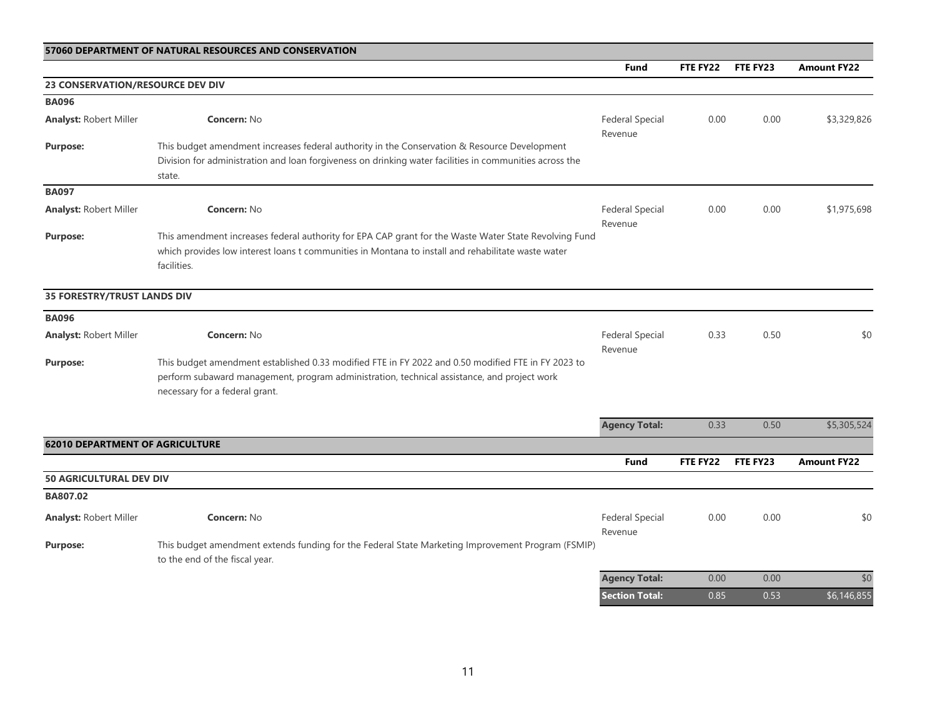## **57060 DEPARTMENT OF NATURAL RESOURCES AND CONSERVATION**

**Fund FTE FY22 FTE FY23 Amount FY22**

| 23 CONSERVATION/RESOURCE DEV DIV       |                                                                                                                                                                                                                                     |                                   |          |          |                    |
|----------------------------------------|-------------------------------------------------------------------------------------------------------------------------------------------------------------------------------------------------------------------------------------|-----------------------------------|----------|----------|--------------------|
| <b>BA096</b>                           |                                                                                                                                                                                                                                     |                                   |          |          |                    |
| <b>Analyst: Robert Miller</b>          | Concern: No                                                                                                                                                                                                                         | <b>Federal Special</b><br>Revenue | 0.00     | 0.00     | \$3,329,826        |
| <b>Purpose:</b>                        | This budget amendment increases federal authority in the Conservation & Resource Development<br>Division for administration and loan forgiveness on drinking water facilities in communities across the<br>state.                   |                                   |          |          |                    |
| <b>BA097</b>                           |                                                                                                                                                                                                                                     |                                   |          |          |                    |
| <b>Analyst: Robert Miller</b>          | <b>Concern: No</b>                                                                                                                                                                                                                  | <b>Federal Special</b><br>Revenue | 0.00     | 0.00     | \$1,975,698        |
| <b>Purpose:</b>                        | This amendment increases federal authority for EPA CAP grant for the Waste Water State Revolving Fund<br>which provides low interest loans t communities in Montana to install and rehabilitate waste water<br>facilities.          |                                   |          |          |                    |
| <b>35 FORESTRY/TRUST LANDS DIV</b>     |                                                                                                                                                                                                                                     |                                   |          |          |                    |
| <b>BA096</b>                           |                                                                                                                                                                                                                                     |                                   |          |          |                    |
| <b>Analyst: Robert Miller</b>          | <b>Concern: No</b>                                                                                                                                                                                                                  | <b>Federal Special</b><br>Revenue | 0.33     | 0.50     | \$0                |
| <b>Purpose:</b>                        | This budget amendment established 0.33 modified FTE in FY 2022 and 0.50 modified FTE in FY 2023 to<br>perform subaward management, program administration, technical assistance, and project work<br>necessary for a federal grant. |                                   |          |          |                    |
|                                        |                                                                                                                                                                                                                                     | <b>Agency Total:</b>              | 0.33     | 0.50     | \$5,305,524        |
| <b>62010 DEPARTMENT OF AGRICULTURE</b> |                                                                                                                                                                                                                                     |                                   |          |          |                    |
|                                        |                                                                                                                                                                                                                                     | <b>Fund</b>                       | FTE FY22 | FTE FY23 | <b>Amount FY22</b> |
| 50 AGRICULTURAL DEV DIV                |                                                                                                                                                                                                                                     |                                   |          |          |                    |
| BA807.02                               |                                                                                                                                                                                                                                     |                                   |          |          |                    |
| <b>Analyst: Robert Miller</b>          | <b>Concern: No</b>                                                                                                                                                                                                                  | <b>Federal Special</b><br>Revenue | 0.00     | 0.00     | \$0                |
| <b>Purpose:</b>                        | This budget amendment extends funding for the Federal State Marketing Improvement Program (FSMIP)<br>to the end of the fiscal year.                                                                                                 |                                   |          |          |                    |
|                                        |                                                                                                                                                                                                                                     | <b>Agency Total:</b>              | 0.00     | 0.00     | \$0                |
|                                        |                                                                                                                                                                                                                                     | <b>Section Total:</b>             | 0.85     | 0.53     | \$6,146,855        |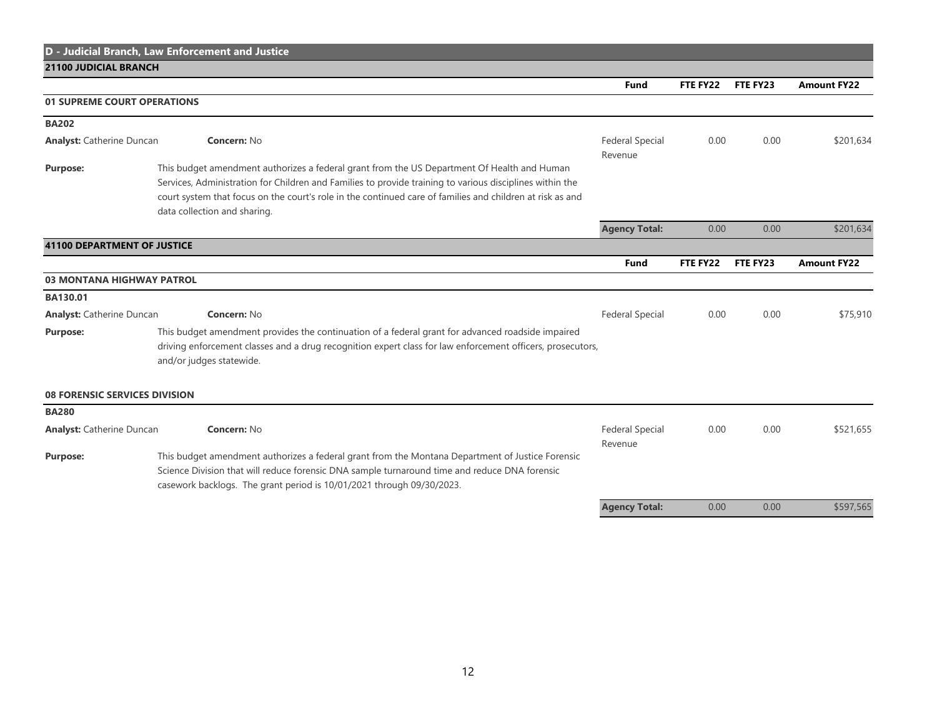| <b>21100 JUDICIAL BRANCH</b>                    | D - Judicial Branch, Law Enforcement and Justice                                                                                                                                                                                                                                                                                                     |                                   |          |          |                    |
|-------------------------------------------------|------------------------------------------------------------------------------------------------------------------------------------------------------------------------------------------------------------------------------------------------------------------------------------------------------------------------------------------------------|-----------------------------------|----------|----------|--------------------|
|                                                 |                                                                                                                                                                                                                                                                                                                                                      | <b>Fund</b>                       | FTE FY22 | FTE FY23 | <b>Amount FY22</b> |
|                                                 |                                                                                                                                                                                                                                                                                                                                                      |                                   |          |          |                    |
|                                                 | 01 SUPREME COURT OPERATIONS                                                                                                                                                                                                                                                                                                                          |                                   |          |          |                    |
| <b>BA202</b>                                    |                                                                                                                                                                                                                                                                                                                                                      |                                   |          |          |                    |
| Concern: No<br><b>Analyst: Catherine Duncan</b> |                                                                                                                                                                                                                                                                                                                                                      | <b>Federal Special</b>            | 0.00     | 0.00     | \$201,634          |
| <b>Purpose:</b>                                 | This budget amendment authorizes a federal grant from the US Department Of Health and Human<br>Services, Administration for Children and Families to provide training to various disciplines within the<br>court system that focus on the court's role in the continued care of families and children at risk as and<br>data collection and sharing. | Revenue                           |          |          |                    |
|                                                 |                                                                                                                                                                                                                                                                                                                                                      | <b>Agency Total:</b>              | 0.00     | 0.00     | \$201,634          |
| <b>41100 DEPARTMENT OF JUSTICE</b>              |                                                                                                                                                                                                                                                                                                                                                      |                                   |          |          |                    |
|                                                 |                                                                                                                                                                                                                                                                                                                                                      | Fund                              | FTE FY22 | FTE FY23 | <b>Amount FY22</b> |
| <b>03 MONTANA HIGHWAY PATROL</b>                |                                                                                                                                                                                                                                                                                                                                                      |                                   |          |          |                    |
| BA130.01                                        |                                                                                                                                                                                                                                                                                                                                                      |                                   |          |          |                    |
| <b>Analyst: Catherine Duncan</b>                | Concern: No                                                                                                                                                                                                                                                                                                                                          | <b>Federal Special</b>            | 0.00     | 0.00     | \$75,910           |
| Purpose:                                        | This budget amendment provides the continuation of a federal grant for advanced roadside impaired<br>driving enforcement classes and a drug recognition expert class for law enforcement officers, prosecutors,<br>and/or judges statewide.                                                                                                          |                                   |          |          |                    |
| <b>08 FORENSIC SERVICES DIVISION</b>            |                                                                                                                                                                                                                                                                                                                                                      |                                   |          |          |                    |
| <b>BA280</b>                                    |                                                                                                                                                                                                                                                                                                                                                      |                                   |          |          |                    |
| <b>Analyst:</b> Catherine Duncan                | Concern: No                                                                                                                                                                                                                                                                                                                                          | <b>Federal Special</b><br>Revenue | 0.00     | 0.00     | \$521,655          |
| <b>Purpose:</b>                                 | This budget amendment authorizes a federal grant from the Montana Department of Justice Forensic<br>Science Division that will reduce forensic DNA sample turnaround time and reduce DNA forensic<br>casework backlogs. The grant period is 10/01/2021 through 09/30/2023.                                                                           |                                   |          |          |                    |
|                                                 |                                                                                                                                                                                                                                                                                                                                                      | <b>Agency Total:</b>              | 0.00     | 0.00     | \$597,565          |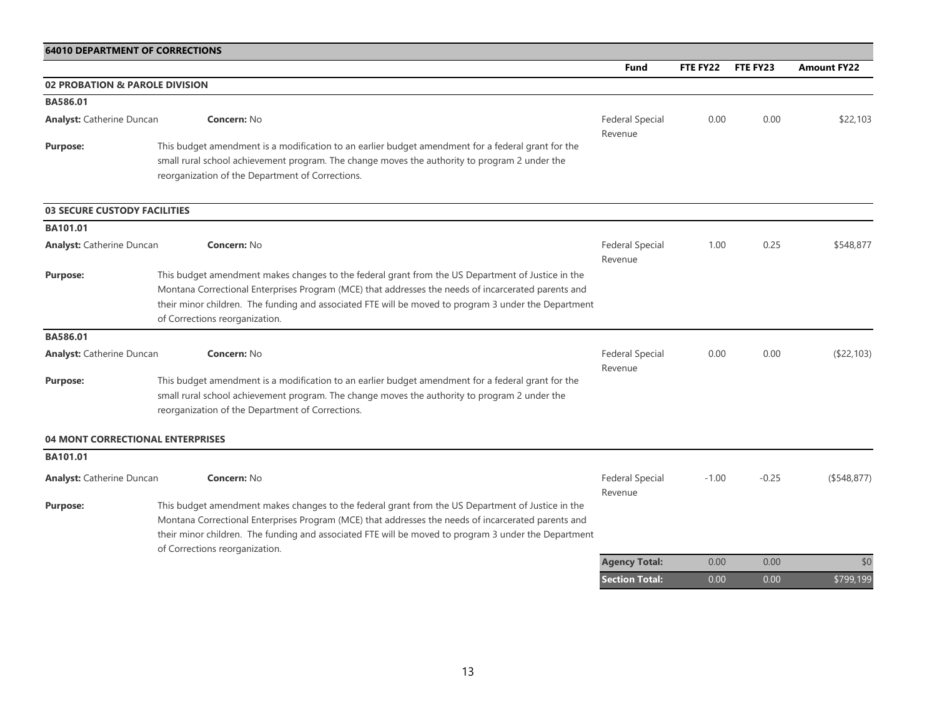|                                     |                                                                                                                                                                                                                                                                                                                                                    | <b>Fund</b>                       | <b>FTE FY22</b> | FTE FY23 | <b>Amount FY22</b> |
|-------------------------------------|----------------------------------------------------------------------------------------------------------------------------------------------------------------------------------------------------------------------------------------------------------------------------------------------------------------------------------------------------|-----------------------------------|-----------------|----------|--------------------|
|                                     | 02 PROBATION & PAROLE DIVISION                                                                                                                                                                                                                                                                                                                     |                                   |                 |          |                    |
| BA586.01                            |                                                                                                                                                                                                                                                                                                                                                    |                                   |                 |          |                    |
| <b>Analyst:</b> Catherine Duncan    | <b>Concern: No</b>                                                                                                                                                                                                                                                                                                                                 | <b>Federal Special</b><br>Revenue | 0.00            | 0.00     | \$22,103           |
| <b>Purpose:</b>                     | This budget amendment is a modification to an earlier budget amendment for a federal grant for the<br>small rural school achievement program. The change moves the authority to program 2 under the<br>reorganization of the Department of Corrections.                                                                                            |                                   |                 |          |                    |
| <b>03 SECURE CUSTODY FACILITIES</b> |                                                                                                                                                                                                                                                                                                                                                    |                                   |                 |          |                    |
| <b>BA101.01</b>                     |                                                                                                                                                                                                                                                                                                                                                    |                                   |                 |          |                    |
| <b>Analyst:</b> Catherine Duncan    | <b>Concern: No</b>                                                                                                                                                                                                                                                                                                                                 | <b>Federal Special</b><br>Revenue | 1.00            | 0.25     | \$548,877          |
| <b>Purpose:</b>                     | This budget amendment makes changes to the federal grant from the US Department of Justice in the<br>Montana Correctional Enterprises Program (MCE) that addresses the needs of incarcerated parents and<br>their minor children. The funding and associated FTE will be moved to program 3 under the Department<br>of Corrections reorganization. |                                   |                 |          |                    |
| BA586.01                            |                                                                                                                                                                                                                                                                                                                                                    |                                   |                 |          |                    |
| <b>Analyst:</b> Catherine Duncan    | <b>Concern: No</b>                                                                                                                                                                                                                                                                                                                                 | <b>Federal Special</b><br>Revenue | 0.00            | 0.00     | (\$22,103)         |
| <b>Purpose:</b>                     | This budget amendment is a modification to an earlier budget amendment for a federal grant for the<br>small rural school achievement program. The change moves the authority to program 2 under the<br>reorganization of the Department of Corrections.                                                                                            |                                   |                 |          |                    |
|                                     | <b>04 MONT CORRECTIONAL ENTERPRISES</b>                                                                                                                                                                                                                                                                                                            |                                   |                 |          |                    |
| BA101.01                            |                                                                                                                                                                                                                                                                                                                                                    |                                   |                 |          |                    |
| <b>Analyst: Catherine Duncan</b>    | <b>Concern: No</b>                                                                                                                                                                                                                                                                                                                                 | <b>Federal Special</b><br>Revenue | $-1.00$         | $-0.25$  | ( \$548, 877)      |
| <b>Purpose:</b>                     | This budget amendment makes changes to the federal grant from the US Department of Justice in the<br>Montana Correctional Enterprises Program (MCE) that addresses the needs of incarcerated parents and<br>their minor children. The funding and associated FTE will be moved to program 3 under the Department<br>of Corrections reorganization. |                                   |                 |          |                    |
|                                     |                                                                                                                                                                                                                                                                                                                                                    | <b>Agency Total:</b>              | 0.00            | 0.00     | \$0                |
|                                     |                                                                                                                                                                                                                                                                                                                                                    | <b>Section Total:</b>             | 0.00            | 0.00     | \$799,199          |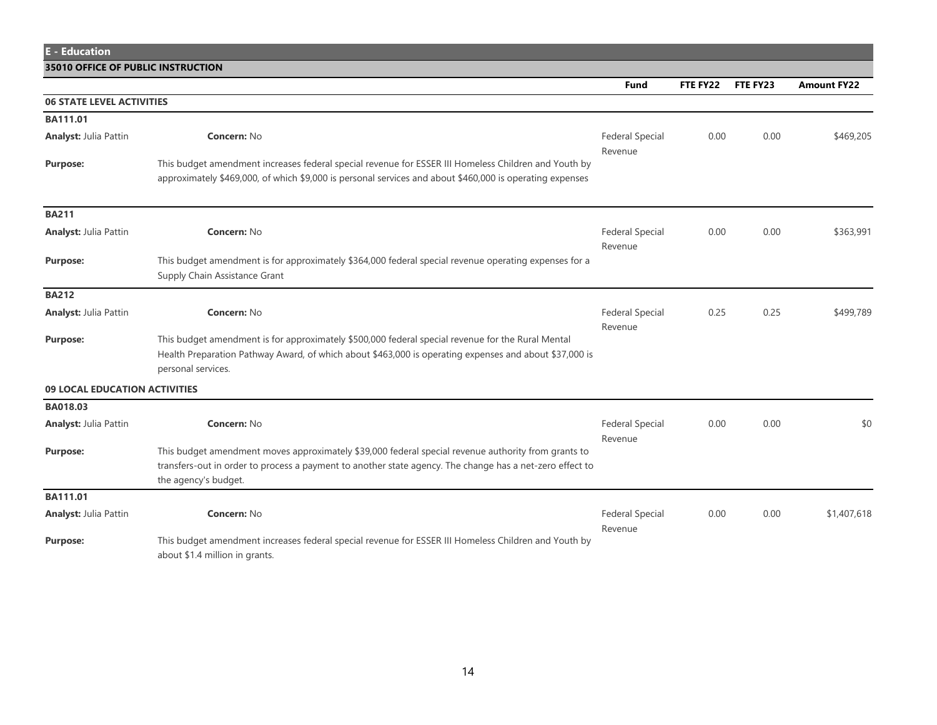**E - Education**

**35010 OFFICE OF PUBLIC INSTRUCTION**

**Fund FTE FY22 FTE FY23 Amount FY22**

| <b>06 STATE LEVEL ACTIVITIES</b> |                                                                                                                                                                                                                                         |                                   |      |      |             |
|----------------------------------|-----------------------------------------------------------------------------------------------------------------------------------------------------------------------------------------------------------------------------------------|-----------------------------------|------|------|-------------|
| BA111.01                         |                                                                                                                                                                                                                                         |                                   |      |      |             |
| <b>Analyst: Julia Pattin</b>     | <b>Concern: No</b>                                                                                                                                                                                                                      | <b>Federal Special</b><br>Revenue | 0.00 | 0.00 | \$469,205   |
| <b>Purpose:</b>                  | This budget amendment increases federal special revenue for ESSER III Homeless Children and Youth by<br>approximately \$469,000, of which \$9,000 is personal services and about \$460,000 is operating expenses                        |                                   |      |      |             |
| <b>BA211</b>                     |                                                                                                                                                                                                                                         |                                   |      |      |             |
| <b>Analyst: Julia Pattin</b>     | <b>Concern: No</b>                                                                                                                                                                                                                      | <b>Federal Special</b><br>Revenue | 0.00 | 0.00 | \$363,991   |
| <b>Purpose:</b>                  | This budget amendment is for approximately \$364,000 federal special revenue operating expenses for a<br>Supply Chain Assistance Grant                                                                                                  |                                   |      |      |             |
| <b>BA212</b>                     |                                                                                                                                                                                                                                         |                                   |      |      |             |
| <b>Analyst: Julia Pattin</b>     | <b>Concern: No</b>                                                                                                                                                                                                                      | <b>Federal Special</b><br>Revenue | 0.25 | 0.25 | \$499,789   |
| <b>Purpose:</b>                  | This budget amendment is for approximately \$500,000 federal special revenue for the Rural Mental<br>Health Preparation Pathway Award, of which about \$463,000 is operating expenses and about \$37,000 is<br>personal services.       |                                   |      |      |             |
| 09 LOCAL EDUCATION ACTIVITIES    |                                                                                                                                                                                                                                         |                                   |      |      |             |
| BA018.03                         |                                                                                                                                                                                                                                         |                                   |      |      |             |
| <b>Analyst: Julia Pattin</b>     | Concern: No                                                                                                                                                                                                                             | <b>Federal Special</b><br>Revenue | 0.00 | 0.00 | \$0         |
| <b>Purpose:</b>                  | This budget amendment moves approximately \$39,000 federal special revenue authority from grants to<br>transfers-out in order to process a payment to another state agency. The change has a net-zero effect to<br>the agency's budget. |                                   |      |      |             |
| BA111.01                         |                                                                                                                                                                                                                                         |                                   |      |      |             |
| <b>Analyst: Julia Pattin</b>     | <b>Concern: No</b>                                                                                                                                                                                                                      | <b>Federal Special</b><br>Revenue | 0.00 | 0.00 | \$1,407,618 |
| <b>Purpose:</b>                  | This budget amendment increases federal special revenue for ESSER III Homeless Children and Youth by<br>about \$1.4 million in grants.                                                                                                  |                                   |      |      |             |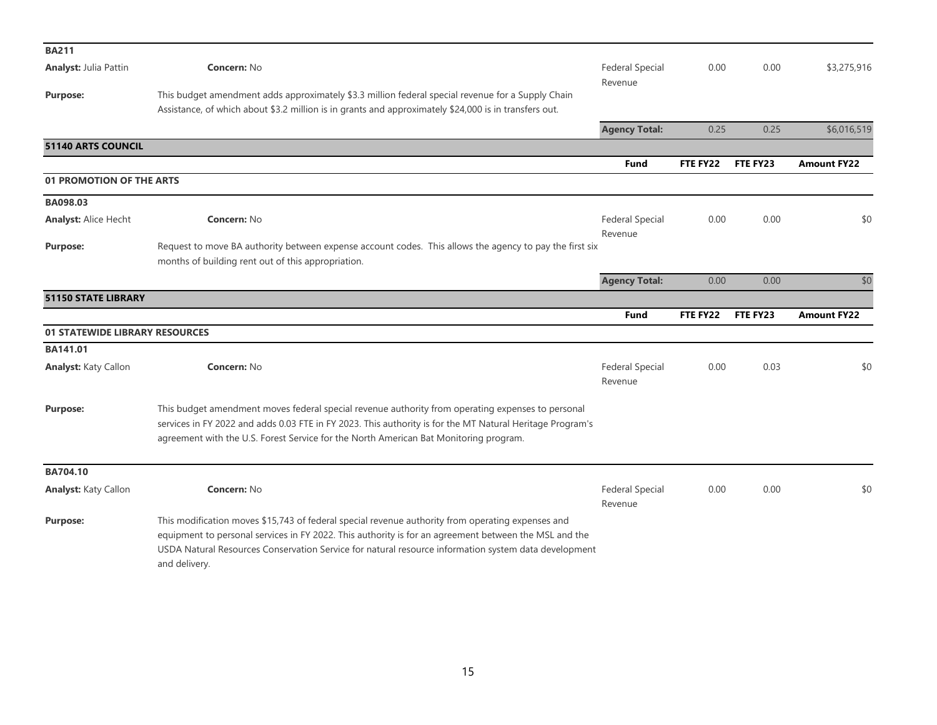| <b>BA211</b>                   |                                                                                                                                                                                                                                                                                                                                     |                                   |          |          |                    |
|--------------------------------|-------------------------------------------------------------------------------------------------------------------------------------------------------------------------------------------------------------------------------------------------------------------------------------------------------------------------------------|-----------------------------------|----------|----------|--------------------|
| <b>Analyst: Julia Pattin</b>   | <b>Concern: No</b>                                                                                                                                                                                                                                                                                                                  | <b>Federal Special</b><br>Revenue | 0.00     | 0.00     | \$3,275,916        |
| <b>Purpose:</b>                | This budget amendment adds approximately \$3.3 million federal special revenue for a Supply Chain<br>Assistance, of which about \$3.2 million is in grants and approximately \$24,000 is in transfers out.                                                                                                                          |                                   |          |          |                    |
|                                |                                                                                                                                                                                                                                                                                                                                     | <b>Agency Total:</b>              | 0.25     | 0.25     | \$6,016,519        |
| 51140 ARTS COUNCIL             |                                                                                                                                                                                                                                                                                                                                     |                                   |          |          |                    |
|                                |                                                                                                                                                                                                                                                                                                                                     | <b>Fund</b>                       | FTE FY22 | FTE FY23 | <b>Amount FY22</b> |
| 01 PROMOTION OF THE ARTS       |                                                                                                                                                                                                                                                                                                                                     |                                   |          |          |                    |
| BA098.03                       |                                                                                                                                                                                                                                                                                                                                     |                                   |          |          |                    |
| <b>Analyst: Alice Hecht</b>    | <b>Concern: No</b>                                                                                                                                                                                                                                                                                                                  | <b>Federal Special</b><br>Revenue | 0.00     | 0.00     | \$0                |
| Purpose:                       | Request to move BA authority between expense account codes. This allows the agency to pay the first six<br>months of building rent out of this appropriation.                                                                                                                                                                       |                                   |          |          |                    |
|                                |                                                                                                                                                                                                                                                                                                                                     | <b>Agency Total:</b>              | 0.00     | 0.00     | \$0                |
| <b>51150 STATE LIBRARY</b>     |                                                                                                                                                                                                                                                                                                                                     |                                   |          |          |                    |
|                                |                                                                                                                                                                                                                                                                                                                                     | <b>Fund</b>                       | FTE FY22 | FTE FY23 | <b>Amount FY22</b> |
| 01 STATEWIDE LIBRARY RESOURCES |                                                                                                                                                                                                                                                                                                                                     |                                   |          |          |                    |
| <b>BA141.01</b>                |                                                                                                                                                                                                                                                                                                                                     |                                   |          |          |                    |
| <b>Analyst: Katy Callon</b>    | <b>Concern: No</b>                                                                                                                                                                                                                                                                                                                  | <b>Federal Special</b><br>Revenue | 0.00     | 0.03     | \$0                |
| <b>Purpose:</b>                | This budget amendment moves federal special revenue authority from operating expenses to personal<br>services in FY 2022 and adds 0.03 FTE in FY 2023. This authority is for the MT Natural Heritage Program's<br>agreement with the U.S. Forest Service for the North American Bat Monitoring program.                             |                                   |          |          |                    |
| BA704.10                       |                                                                                                                                                                                                                                                                                                                                     |                                   |          |          |                    |
| <b>Analyst: Katy Callon</b>    | <b>Concern: No</b>                                                                                                                                                                                                                                                                                                                  | <b>Federal Special</b><br>Revenue | 0.00     | 0.00     | \$0                |
| <b>Purpose:</b>                | This modification moves \$15,743 of federal special revenue authority from operating expenses and<br>equipment to personal services in FY 2022. This authority is for an agreement between the MSL and the<br>USDA Natural Resources Conservation Service for natural resource information system data development<br>and delivery. |                                   |          |          |                    |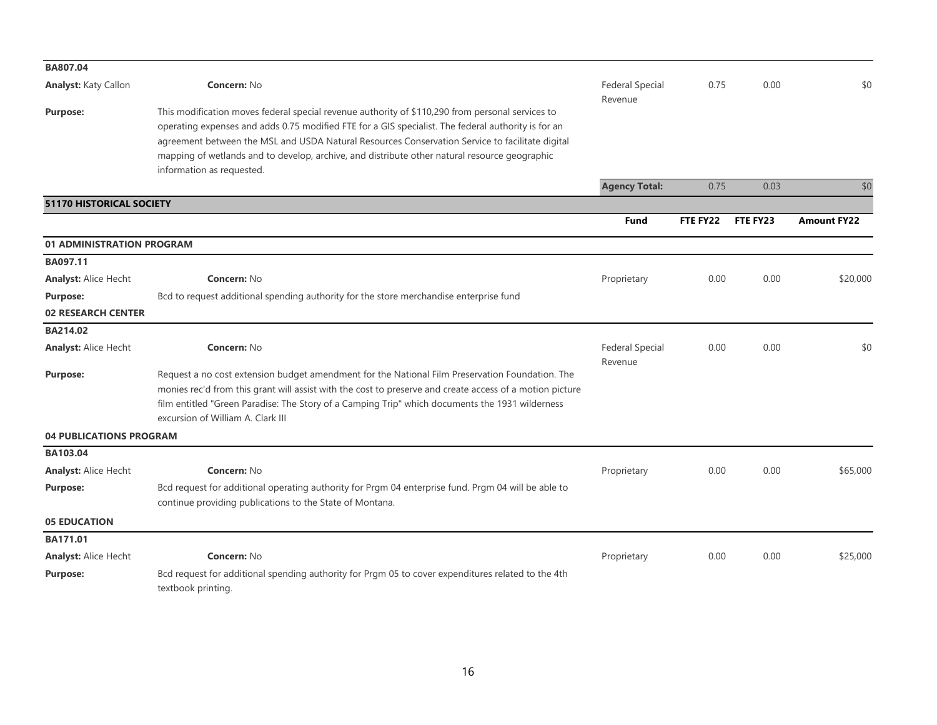| BA807.04                        |                                                                                                                                                                                                                                                                                                                                                                                                                                          |                                   |          |          |                    |
|---------------------------------|------------------------------------------------------------------------------------------------------------------------------------------------------------------------------------------------------------------------------------------------------------------------------------------------------------------------------------------------------------------------------------------------------------------------------------------|-----------------------------------|----------|----------|--------------------|
| <b>Analyst: Katy Callon</b>     | <b>Concern: No</b>                                                                                                                                                                                                                                                                                                                                                                                                                       | <b>Federal Special</b><br>Revenue | 0.75     | 0.00     | \$0                |
| <b>Purpose:</b>                 | This modification moves federal special revenue authority of \$110,290 from personal services to<br>operating expenses and adds 0.75 modified FTE for a GIS specialist. The federal authority is for an<br>agreement between the MSL and USDA Natural Resources Conservation Service to facilitate digital<br>mapping of wetlands and to develop, archive, and distribute other natural resource geographic<br>information as requested. |                                   |          |          |                    |
|                                 |                                                                                                                                                                                                                                                                                                                                                                                                                                          | <b>Agency Total:</b>              | 0.75     | 0.03     | \$0                |
| <b>51170 HISTORICAL SOCIETY</b> |                                                                                                                                                                                                                                                                                                                                                                                                                                          |                                   |          |          |                    |
|                                 |                                                                                                                                                                                                                                                                                                                                                                                                                                          | <b>Fund</b>                       | FTE FY22 | FTE FY23 | <b>Amount FY22</b> |
| 01 ADMINISTRATION PROGRAM       |                                                                                                                                                                                                                                                                                                                                                                                                                                          |                                   |          |          |                    |
| BA097.11                        |                                                                                                                                                                                                                                                                                                                                                                                                                                          |                                   |          |          |                    |
| <b>Analyst: Alice Hecht</b>     | <b>Concern: No</b>                                                                                                                                                                                                                                                                                                                                                                                                                       | Proprietary                       | 0.00     | 0.00     | \$20,000           |
| <b>Purpose:</b>                 | Bcd to request additional spending authority for the store merchandise enterprise fund                                                                                                                                                                                                                                                                                                                                                   |                                   |          |          |                    |
| <b>02 RESEARCH CENTER</b>       |                                                                                                                                                                                                                                                                                                                                                                                                                                          |                                   |          |          |                    |
| BA214.02                        |                                                                                                                                                                                                                                                                                                                                                                                                                                          |                                   |          |          |                    |
| <b>Analyst: Alice Hecht</b>     | Concern: No                                                                                                                                                                                                                                                                                                                                                                                                                              | <b>Federal Special</b><br>Revenue | 0.00     | 0.00     | \$0                |
| <b>Purpose:</b>                 | Request a no cost extension budget amendment for the National Film Preservation Foundation. The<br>monies rec'd from this grant will assist with the cost to preserve and create access of a motion picture<br>film entitled "Green Paradise: The Story of a Camping Trip" which documents the 1931 wilderness<br>excursion of William A. Clark III                                                                                      |                                   |          |          |                    |
| <b>04 PUBLICATIONS PROGRAM</b>  |                                                                                                                                                                                                                                                                                                                                                                                                                                          |                                   |          |          |                    |
| BA103.04                        |                                                                                                                                                                                                                                                                                                                                                                                                                                          |                                   |          |          |                    |
| <b>Analyst: Alice Hecht</b>     | Concern: No                                                                                                                                                                                                                                                                                                                                                                                                                              | Proprietary                       | 0.00     | 0.00     | \$65,000           |
| <b>Purpose:</b>                 | Bcd request for additional operating authority for Prgm 04 enterprise fund. Prgm 04 will be able to<br>continue providing publications to the State of Montana.                                                                                                                                                                                                                                                                          |                                   |          |          |                    |
| <b>05 EDUCATION</b>             |                                                                                                                                                                                                                                                                                                                                                                                                                                          |                                   |          |          |                    |
| BA171.01                        |                                                                                                                                                                                                                                                                                                                                                                                                                                          |                                   |          |          |                    |
| <b>Analyst: Alice Hecht</b>     | <b>Concern: No</b>                                                                                                                                                                                                                                                                                                                                                                                                                       | Proprietary                       | 0.00     | 0.00     | \$25,000           |
| <b>Purpose:</b>                 | Bcd request for additional spending authority for Prgm 05 to cover expenditures related to the 4th<br>textbook printing.                                                                                                                                                                                                                                                                                                                 |                                   |          |          |                    |